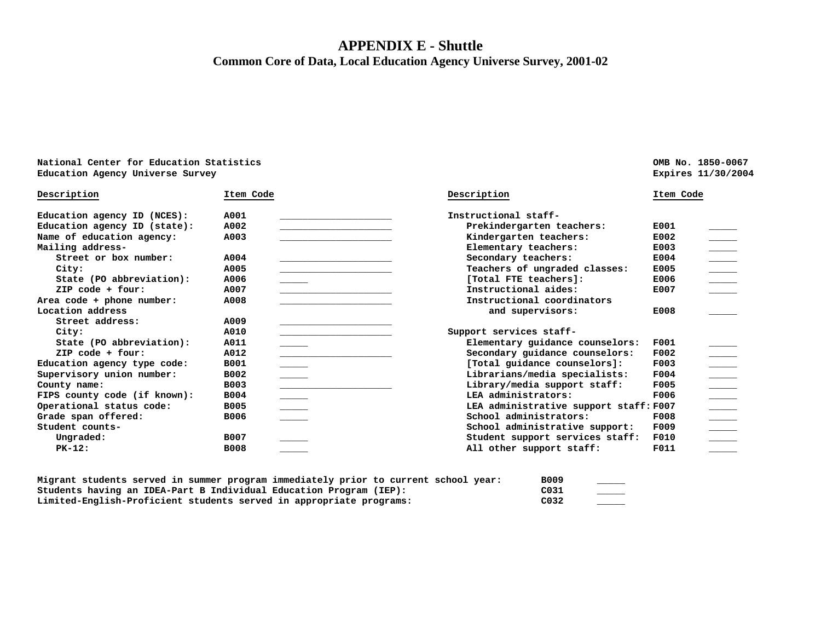## **APPENDIX E - Shuttle Common Core of Data, Local Education Agency Universe Survey, 2001-02**

| National Center for Education Statistics |                                               |                                                                                                                                                                                                                                                                                                                                                                                                                                                                                                                                                                                                                                                                                                                                                                                                                                                                                                                                                                                                                                                                                   | OMB No. 1850-0067 |                                                                                                                                                                                                                                                                                                                                                                                                                       |
|------------------------------------------|-----------------------------------------------|-----------------------------------------------------------------------------------------------------------------------------------------------------------------------------------------------------------------------------------------------------------------------------------------------------------------------------------------------------------------------------------------------------------------------------------------------------------------------------------------------------------------------------------------------------------------------------------------------------------------------------------------------------------------------------------------------------------------------------------------------------------------------------------------------------------------------------------------------------------------------------------------------------------------------------------------------------------------------------------------------------------------------------------------------------------------------------------|-------------------|-----------------------------------------------------------------------------------------------------------------------------------------------------------------------------------------------------------------------------------------------------------------------------------------------------------------------------------------------------------------------------------------------------------------------|
| Education Agency Universe Survey         |                                               |                                                                                                                                                                                                                                                                                                                                                                                                                                                                                                                                                                                                                                                                                                                                                                                                                                                                                                                                                                                                                                                                                   |                   | Expires 11/30/2004                                                                                                                                                                                                                                                                                                                                                                                                    |
| Item Code                                |                                               | Description                                                                                                                                                                                                                                                                                                                                                                                                                                                                                                                                                                                                                                                                                                                                                                                                                                                                                                                                                                                                                                                                       | Item Code         |                                                                                                                                                                                                                                                                                                                                                                                                                       |
| A001                                     |                                               | Instructional staff-                                                                                                                                                                                                                                                                                                                                                                                                                                                                                                                                                                                                                                                                                                                                                                                                                                                                                                                                                                                                                                                              |                   |                                                                                                                                                                                                                                                                                                                                                                                                                       |
| A002                                     | <u> 1989 - Alexandria Statistik (d. 1989)</u> | Prekindergarten teachers:                                                                                                                                                                                                                                                                                                                                                                                                                                                                                                                                                                                                                                                                                                                                                                                                                                                                                                                                                                                                                                                         | E001              |                                                                                                                                                                                                                                                                                                                                                                                                                       |
| A003                                     |                                               | Kindergarten teachers:                                                                                                                                                                                                                                                                                                                                                                                                                                                                                                                                                                                                                                                                                                                                                                                                                                                                                                                                                                                                                                                            | E002              |                                                                                                                                                                                                                                                                                                                                                                                                                       |
|                                          |                                               | Elementary teachers:                                                                                                                                                                                                                                                                                                                                                                                                                                                                                                                                                                                                                                                                                                                                                                                                                                                                                                                                                                                                                                                              | E003              |                                                                                                                                                                                                                                                                                                                                                                                                                       |
| A004                                     |                                               | Secondary teachers:                                                                                                                                                                                                                                                                                                                                                                                                                                                                                                                                                                                                                                                                                                                                                                                                                                                                                                                                                                                                                                                               | E004              |                                                                                                                                                                                                                                                                                                                                                                                                                       |
| A005                                     |                                               | Teachers of ungraded classes:                                                                                                                                                                                                                                                                                                                                                                                                                                                                                                                                                                                                                                                                                                                                                                                                                                                                                                                                                                                                                                                     | E005              |                                                                                                                                                                                                                                                                                                                                                                                                                       |
| A006                                     |                                               | [Total FTE teachers]:                                                                                                                                                                                                                                                                                                                                                                                                                                                                                                                                                                                                                                                                                                                                                                                                                                                                                                                                                                                                                                                             | E006              |                                                                                                                                                                                                                                                                                                                                                                                                                       |
| A007                                     |                                               | Instructional aides:                                                                                                                                                                                                                                                                                                                                                                                                                                                                                                                                                                                                                                                                                                                                                                                                                                                                                                                                                                                                                                                              | E007              |                                                                                                                                                                                                                                                                                                                                                                                                                       |
| A008                                     |                                               | Instructional coordinators                                                                                                                                                                                                                                                                                                                                                                                                                                                                                                                                                                                                                                                                                                                                                                                                                                                                                                                                                                                                                                                        |                   |                                                                                                                                                                                                                                                                                                                                                                                                                       |
|                                          |                                               | and supervisors:                                                                                                                                                                                                                                                                                                                                                                                                                                                                                                                                                                                                                                                                                                                                                                                                                                                                                                                                                                                                                                                                  | E008              |                                                                                                                                                                                                                                                                                                                                                                                                                       |
| A009                                     |                                               |                                                                                                                                                                                                                                                                                                                                                                                                                                                                                                                                                                                                                                                                                                                                                                                                                                                                                                                                                                                                                                                                                   |                   |                                                                                                                                                                                                                                                                                                                                                                                                                       |
| A010                                     |                                               | Support services staff-                                                                                                                                                                                                                                                                                                                                                                                                                                                                                                                                                                                                                                                                                                                                                                                                                                                                                                                                                                                                                                                           |                   |                                                                                                                                                                                                                                                                                                                                                                                                                       |
| A011                                     |                                               | Elementary guidance counselors:                                                                                                                                                                                                                                                                                                                                                                                                                                                                                                                                                                                                                                                                                                                                                                                                                                                                                                                                                                                                                                                   | F001              |                                                                                                                                                                                                                                                                                                                                                                                                                       |
| A012                                     |                                               | Secondary guidance counselors:                                                                                                                                                                                                                                                                                                                                                                                                                                                                                                                                                                                                                                                                                                                                                                                                                                                                                                                                                                                                                                                    | F002              |                                                                                                                                                                                                                                                                                                                                                                                                                       |
| <b>B001</b>                              |                                               | [Total guidance counselors]:                                                                                                                                                                                                                                                                                                                                                                                                                                                                                                                                                                                                                                                                                                                                                                                                                                                                                                                                                                                                                                                      | F003              | $\frac{1}{1}$                                                                                                                                                                                                                                                                                                                                                                                                         |
| B002                                     |                                               | Librarians/media specialists:                                                                                                                                                                                                                                                                                                                                                                                                                                                                                                                                                                                                                                                                                                                                                                                                                                                                                                                                                                                                                                                     | F004              |                                                                                                                                                                                                                                                                                                                                                                                                                       |
| <b>B003</b>                              |                                               | Library/media support staff:                                                                                                                                                                                                                                                                                                                                                                                                                                                                                                                                                                                                                                                                                                                                                                                                                                                                                                                                                                                                                                                      | <b>F005</b>       |                                                                                                                                                                                                                                                                                                                                                                                                                       |
| <b>B004</b>                              |                                               | LEA administrators:                                                                                                                                                                                                                                                                                                                                                                                                                                                                                                                                                                                                                                                                                                                                                                                                                                                                                                                                                                                                                                                               | F006              |                                                                                                                                                                                                                                                                                                                                                                                                                       |
| <b>B005</b>                              |                                               |                                                                                                                                                                                                                                                                                                                                                                                                                                                                                                                                                                                                                                                                                                                                                                                                                                                                                                                                                                                                                                                                                   |                   |                                                                                                                                                                                                                                                                                                                                                                                                                       |
| <b>B006</b>                              |                                               | School administrators:                                                                                                                                                                                                                                                                                                                                                                                                                                                                                                                                                                                                                                                                                                                                                                                                                                                                                                                                                                                                                                                            | F008              |                                                                                                                                                                                                                                                                                                                                                                                                                       |
|                                          |                                               | School administrative support:                                                                                                                                                                                                                                                                                                                                                                                                                                                                                                                                                                                                                                                                                                                                                                                                                                                                                                                                                                                                                                                    | <b>F009</b>       | $\frac{1}{\frac{1}{1-\frac{1}{1-\frac{1}{1-\frac{1}{1-\frac{1}{1-\frac{1}{1-\frac{1}{1-\frac{1}{1-\frac{1}{1-\frac{1}{1-\frac{1}{1-\frac{1}{1-\frac{1}{1-\frac{1}{1-\frac{1}{1-\frac{1}{1-\frac{1}{1-\frac{1}{1-\frac{1}{1-\frac{1}{1-\frac{1}{1-\frac{1}{1-\frac{1}{1-\frac{1}{1-\frac{1}{1-\frac{1}{1-\frac{1}{1-\frac{1}{1-\frac{1}{1-\frac{1}{1-\frac{1}{1-\frac{1}{1-\frac{1}{1-\frac{1}{1-\frac{1}{1-\frac{1}{$ |
| B007                                     |                                               | Student support services staff:                                                                                                                                                                                                                                                                                                                                                                                                                                                                                                                                                                                                                                                                                                                                                                                                                                                                                                                                                                                                                                                   | <b>F010</b>       |                                                                                                                                                                                                                                                                                                                                                                                                                       |
| <b>B008</b>                              |                                               | All other support staff:                                                                                                                                                                                                                                                                                                                                                                                                                                                                                                                                                                                                                                                                                                                                                                                                                                                                                                                                                                                                                                                          | F011              |                                                                                                                                                                                                                                                                                                                                                                                                                       |
|                                          |                                               | $\overline{\phantom{a}}$<br>$\begin{tabular}{ccccc} \multicolumn{2}{c }{\textbf{\textcolor{blue}{\bf -}} } & \multicolumn{2}{c }{\textbf{\textcolor{blue}{\bf -}} }\\ \multicolumn{2}{c }{\textbf{\textcolor{blue}{\bf -}} } & \multicolumn{2}{c }{\textbf{\textcolor{blue}{\bf -}} }\\ \multicolumn{2}{c }{\textbf{\textcolor{blue}{\bf -}} } & \multicolumn{2}{c }{\textbf{\textcolor{blue}{\bf -}} }\\ \multicolumn{2}{c }{\textbf{\textcolor{blue}{\bf -}} } & \multicolumn{2}{c }{\textbf{\textcolor{blue}{\bf -}} }\\ \multicolumn{2}{c }{\$<br>$\overline{\phantom{a}}$<br>$\begin{tabular}{c} \multicolumn{2}{c} {\textbf{1}} & \multicolumn{2}{c} {\textbf{1}} & \multicolumn{2}{c} {\textbf{1}} \\ \multicolumn{2}{c} {\textbf{1}} & \multicolumn{2}{c} {\textbf{1}} & \multicolumn{2}{c} {\textbf{1}} \\ \multicolumn{2}{c} {\textbf{1}} & \multicolumn{2}{c} {\textbf{1}} & \multicolumn{2}{c} {\textbf{1}} \\ \multicolumn{2}{c} {\textbf{1}} & \multicolumn{2}{c} {\textbf{1}} & \multicolumn{2}{c} {\textbf{1}} \\ \multicolumn{2}{c} {\textbf{1}} & \multicolumn$ |                   | LEA administrative support staff: F007                                                                                                                                                                                                                                                                                                                                                                                |

| Migrant students served in summer program immediately prior to current school year: | <b>B009</b>       |  |
|-------------------------------------------------------------------------------------|-------------------|--|
| Students having an IDEA-Part B Individual Education Program (IEP):                  | C031              |  |
| Limited-English-Proficient students served in appropriate programs:                 | C <sub>0</sub> 32 |  |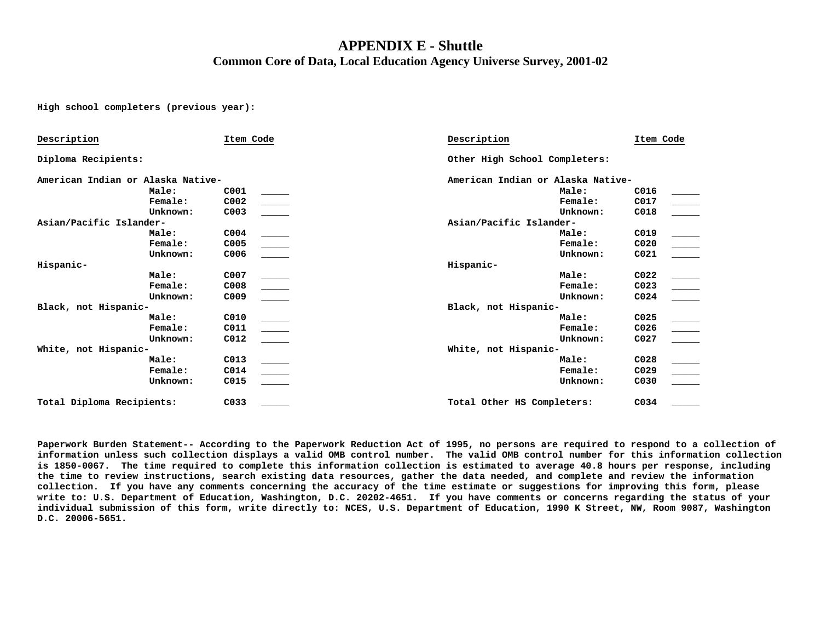## **APPENDIX E - Shuttle Common Core of Data, Local Education Agency Universe Survey, 2001-02**

**High school completers (previous year):** 

| Description                       |          | Item Code        | Description                       |          | Item Code        |               |  |
|-----------------------------------|----------|------------------|-----------------------------------|----------|------------------|---------------|--|
| Diploma Recipients:               |          |                  | Other High School Completers:     |          |                  |               |  |
| American Indian or Alaska Native- |          |                  | American Indian or Alaska Native- |          |                  |               |  |
|                                   | Male:    | C001             |                                   | Male:    | C016             |               |  |
|                                   | Female:  | C002             |                                   | Female:  | C017             |               |  |
|                                   | Unknown: | C003             |                                   | Unknown: | C018             |               |  |
| Asian/Pacific Islander-           |          |                  | Asian/Pacific Islander-           |          |                  |               |  |
|                                   | Male:    | C <sub>004</sub> |                                   | Male:    | C019             |               |  |
|                                   | Female:  | C005             |                                   | Female:  | C020             |               |  |
|                                   | Unknown: | C006             |                                   | Unknown: | CO <sub>21</sub> |               |  |
| Hispanic-                         |          |                  | Hispanic-                         |          |                  |               |  |
|                                   | Male:    | C007             |                                   | Male:    | C <sub>022</sub> |               |  |
|                                   | Female:  | C008             |                                   | Female:  | C023             | $\frac{1}{2}$ |  |
|                                   | Unknown: | C009             |                                   | Unknown: | CO <sub>24</sub> |               |  |
| Black, not Hispanic-              |          |                  | Black, not Hispanic-              |          |                  |               |  |
|                                   | Male:    | C010             |                                   | Male:    | C025             |               |  |
|                                   | Female:  | C011             |                                   | Female:  | C026             |               |  |
|                                   | Unknown: | C012             |                                   | Unknown: | C027             |               |  |
| White, not Hispanic-              |          |                  | White, not Hispanic-              |          |                  |               |  |
|                                   | Male:    | C013             |                                   | Male:    | C028             |               |  |
|                                   | Female:  | C014             |                                   | Female:  | C029             |               |  |
|                                   | Unknown: | C015             |                                   | Unknown: | C030             |               |  |
| Total Diploma Recipients:         |          | C033             | Total Other HS Completers:        |          | C034             |               |  |

**Paperwork Burden Statement-- According to the Paperwork Reduction Act of 1995, no persons are required to respond to a collection of information unless such collection displays a valid OMB control number. The valid OMB control number for this information collection is 1850-0067. The time required to complete this information collection is estimated to average 40.8 hours per response, including the time to review instructions, search existing data resources, gather the data needed, and complete and review the information collection. If you have any comments concerning the accuracy of the time estimate or suggestions for improving this form, please write to: U.S. Department of Education, Washington, D.C. 20202-4651. If you have comments or concerns regarding the status of your individual submission of this form, write directly to: NCES, U.S. Department of Education, 1990 K Street, NW, Room 9087, Washington D.C. 20006-5651.**